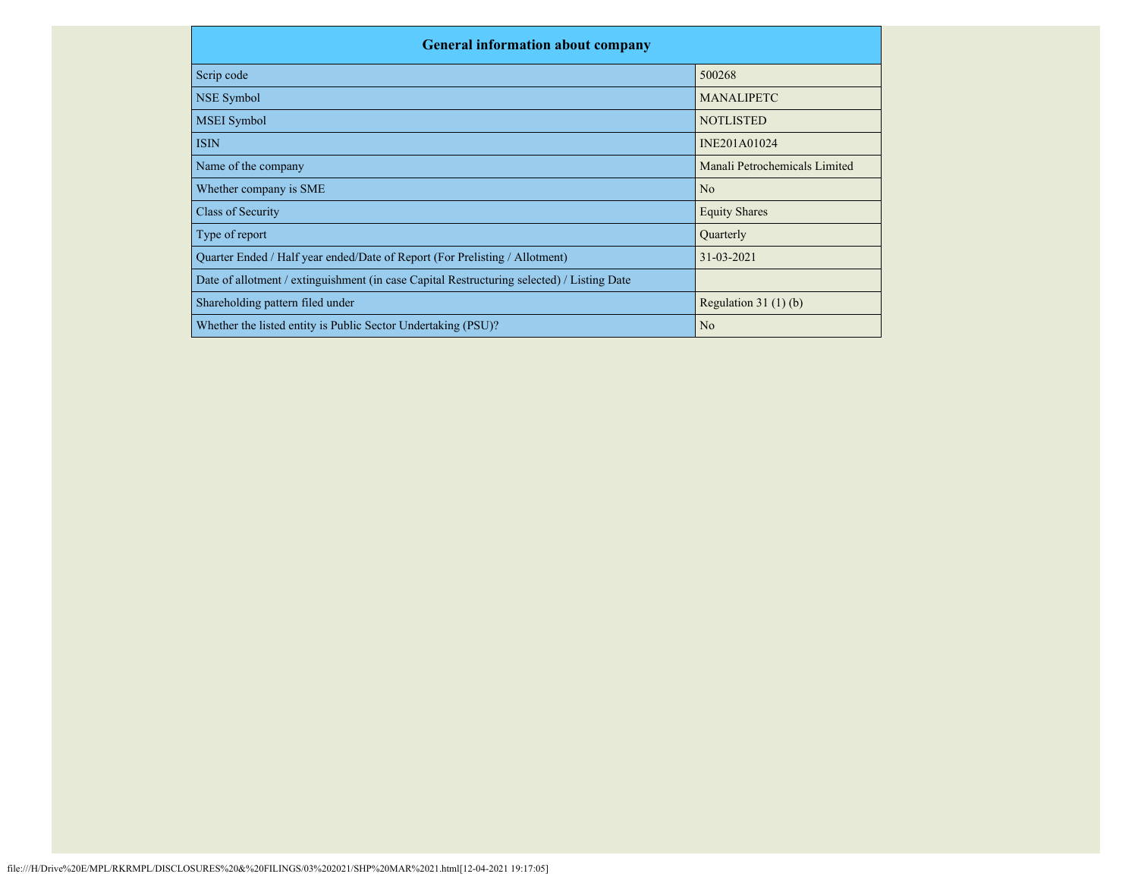| <b>General information about company</b>                                                   |                               |
|--------------------------------------------------------------------------------------------|-------------------------------|
| Scrip code                                                                                 | 500268                        |
| NSE Symbol                                                                                 | <b>MANALIPETC</b>             |
| <b>MSEI</b> Symbol                                                                         | <b>NOTLISTED</b>              |
| <b>ISIN</b>                                                                                | INE201A01024                  |
| Name of the company                                                                        | Manali Petrochemicals Limited |
| Whether company is SME                                                                     | N <sub>o</sub>                |
| Class of Security                                                                          | <b>Equity Shares</b>          |
| Type of report                                                                             | Quarterly                     |
| Quarter Ended / Half year ended/Date of Report (For Prelisting / Allotment)                | 31-03-2021                    |
| Date of allotment / extinguishment (in case Capital Restructuring selected) / Listing Date |                               |
| Shareholding pattern filed under                                                           | Regulation $31(1)(b)$         |
| Whether the listed entity is Public Sector Undertaking (PSU)?                              | N <sub>o</sub>                |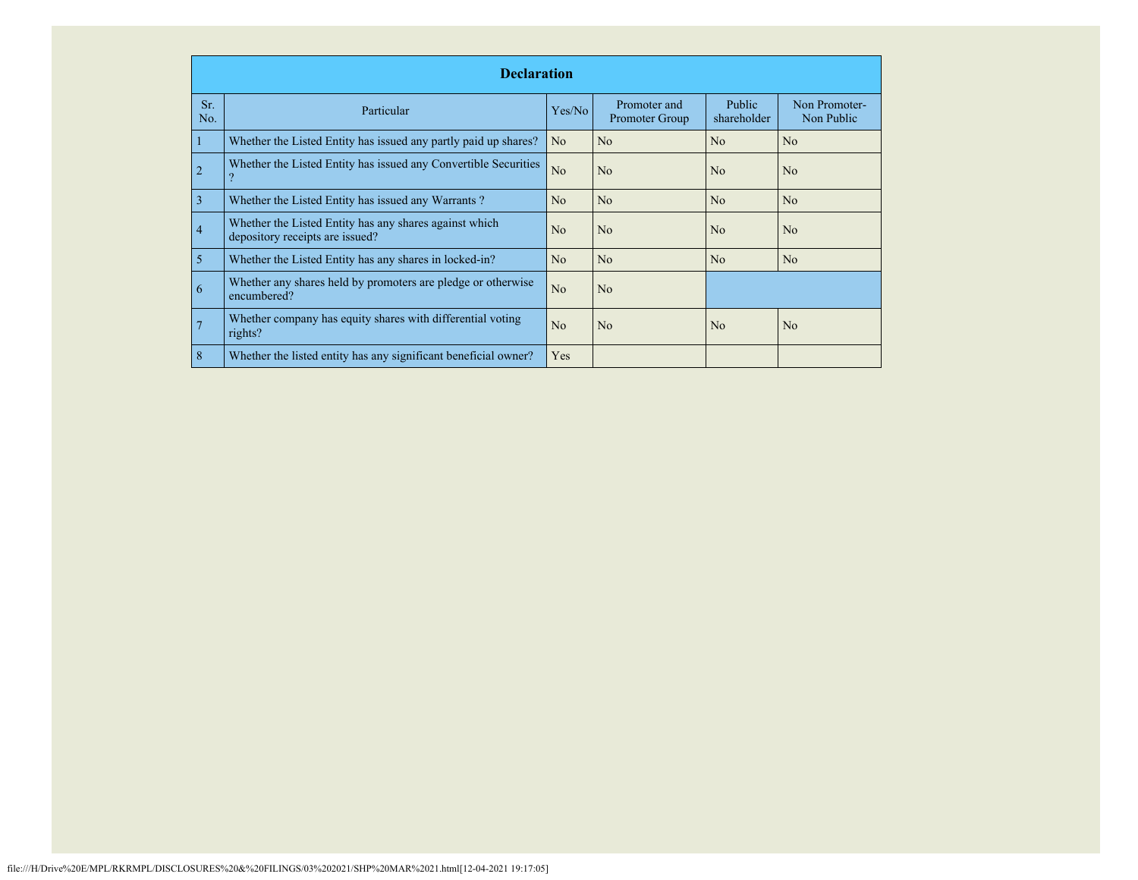|            | <b>Declaration</b>                                                                        |                |                                |                              |                             |  |  |  |  |  |
|------------|-------------------------------------------------------------------------------------------|----------------|--------------------------------|------------------------------|-----------------------------|--|--|--|--|--|
| Sr.<br>No. | Particular                                                                                | Yes/No         | Promoter and<br>Promoter Group | <b>Public</b><br>shareholder | Non Promoter-<br>Non Public |  |  |  |  |  |
|            | Whether the Listed Entity has issued any partly paid up shares?                           | N <sub>o</sub> | N <sub>o</sub>                 | No                           | N <sub>o</sub>              |  |  |  |  |  |
| 2          | Whether the Listed Entity has issued any Convertible Securities                           | No             | N <sub>o</sub>                 | No                           | N <sub>o</sub>              |  |  |  |  |  |
| 3          | Whether the Listed Entity has issued any Warrants?                                        | N <sub>o</sub> | N <sub>o</sub>                 | No                           | N <sub>o</sub>              |  |  |  |  |  |
| 4          | Whether the Listed Entity has any shares against which<br>depository receipts are issued? | N <sub>o</sub> | N <sub>o</sub>                 | No                           | N <sub>o</sub>              |  |  |  |  |  |
| 5          | Whether the Listed Entity has any shares in locked-in?                                    | No             | N <sub>o</sub>                 | N <sub>o</sub>               | N <sub>o</sub>              |  |  |  |  |  |
| 6          | Whether any shares held by promoters are pledge or otherwise<br>encumbered?               | No             | No                             |                              |                             |  |  |  |  |  |
|            | Whether company has equity shares with differential voting<br>rights?                     | N <sub>o</sub> | N <sub>o</sub>                 | No                           | N <sub>o</sub>              |  |  |  |  |  |
| 8          | Whether the listed entity has any significant beneficial owner?                           | Yes            |                                |                              |                             |  |  |  |  |  |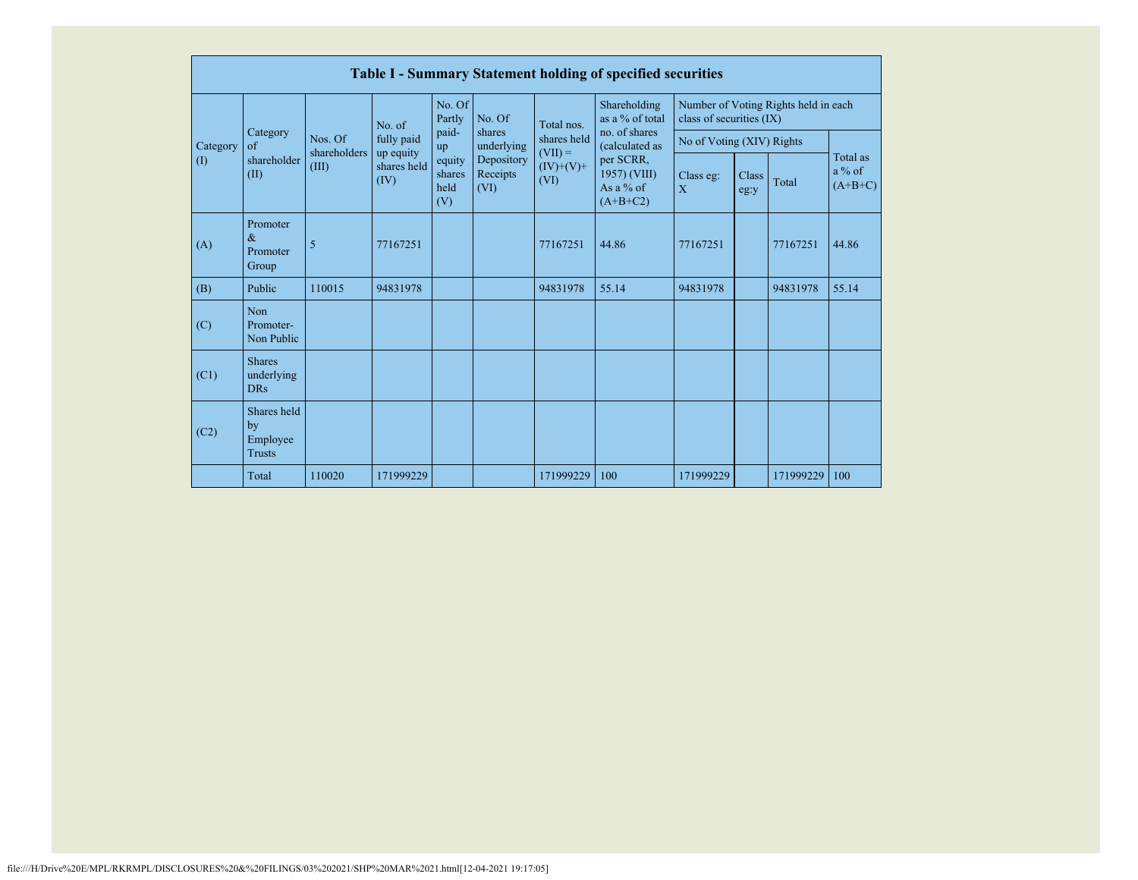|          | <b>Table I - Summary Statement holding of specified securities</b> |                         |                          |                                 |                                |                                                               |                                                                          |                             |                                      |           |                                   |  |  |  |
|----------|--------------------------------------------------------------------|-------------------------|--------------------------|---------------------------------|--------------------------------|---------------------------------------------------------------|--------------------------------------------------------------------------|-----------------------------|--------------------------------------|-----------|-----------------------------------|--|--|--|
|          |                                                                    |                         | No. of                   | No. Of<br>Partly                | No. Of                         | Total nos.<br>shares held<br>$(VII) =$<br>$(IV)+(V)+$<br>(VI) | Shareholding<br>as a % of total<br>no. of shares                         | class of securities (IX)    | Number of Voting Rights held in each |           |                                   |  |  |  |
| Category | Category<br>of                                                     | Nos. Of<br>shareholders | fully paid               | paid-<br>up                     | shares<br>underlying           |                                                               | (calculated as<br>per SCRR,<br>1957) (VIII)<br>As a $%$ of<br>$(A+B+C2)$ | No of Voting (XIV) Rights   |                                      |           |                                   |  |  |  |
| (1)      | shareholder<br>(II)                                                | (III)<br>(IV)           | up equity<br>shares held | equity<br>shares<br>held<br>(V) | Depository<br>Receipts<br>(VI) |                                                               |                                                                          | Class eg:<br>$\overline{X}$ | Class<br>eg:y                        | Total     | Total as<br>$a\%$ of<br>$(A+B+C)$ |  |  |  |
| (A)      | Promoter<br>$\&$<br>Promoter<br>Group                              | 5                       | 77167251                 |                                 |                                | 77167251                                                      | 44.86                                                                    | 77167251                    |                                      | 77167251  | 44.86                             |  |  |  |
| (B)      | Public                                                             | 110015                  | 94831978                 |                                 |                                | 94831978                                                      | 55.14                                                                    | 94831978                    |                                      | 94831978  | 55.14                             |  |  |  |
| (C)      | Non<br>Promoter-<br>Non Public                                     |                         |                          |                                 |                                |                                                               |                                                                          |                             |                                      |           |                                   |  |  |  |
| (C1)     | <b>Shares</b><br>underlying<br><b>DRs</b>                          |                         |                          |                                 |                                |                                                               |                                                                          |                             |                                      |           |                                   |  |  |  |
| (C2)     | Shares held<br>by<br>Employee<br><b>Trusts</b>                     |                         |                          |                                 |                                |                                                               |                                                                          |                             |                                      |           |                                   |  |  |  |
|          | Total                                                              | 110020                  | 171999229                |                                 |                                | 171999229                                                     | 100                                                                      | 171999229                   |                                      | 171999229 | 100                               |  |  |  |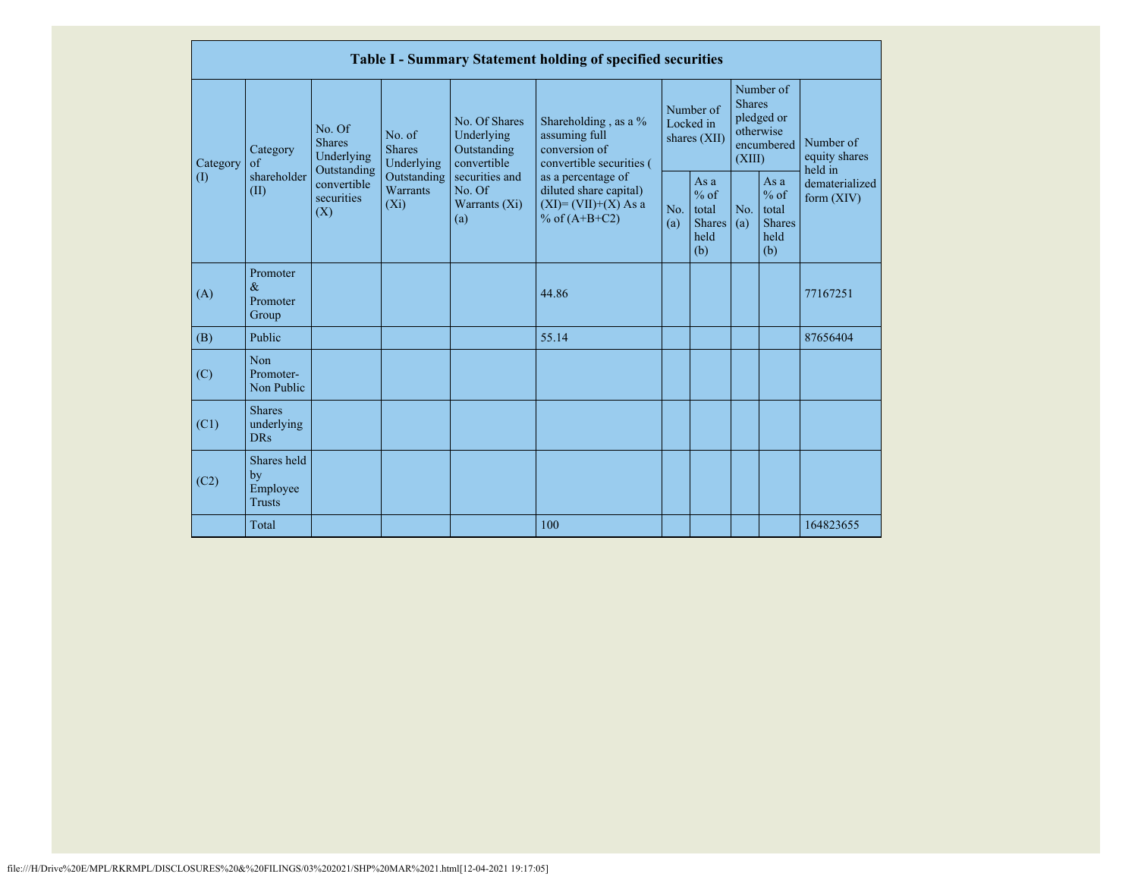|                       |                                                |                                                                                                                                                          |             |                                                           | Table I - Summary Statement holding of specified securities                                |                                        |                                                        |                                                                               |                                                           |                                       |
|-----------------------|------------------------------------------------|----------------------------------------------------------------------------------------------------------------------------------------------------------|-------------|-----------------------------------------------------------|--------------------------------------------------------------------------------------------|----------------------------------------|--------------------------------------------------------|-------------------------------------------------------------------------------|-----------------------------------------------------------|---------------------------------------|
| Category<br>$\rm (I)$ | Category<br>$\sigma$<br>shareholder<br>(II)    | No. Of<br>No. of<br><b>Shares</b><br><b>Shares</b><br>Underlying<br>Underlying<br>Outstanding<br>convertible<br>Warrants<br>securities<br>$(X_i)$<br>(X) |             | No. Of Shares<br>Underlying<br>Outstanding<br>convertible | Shareholding, as a %<br>assuming full<br>conversion of<br>convertible securities (         | Number of<br>Locked in<br>shares (XII) |                                                        | Number of<br><b>Shares</b><br>pledged or<br>otherwise<br>encumbered<br>(XIII) |                                                           | Number of<br>equity shares<br>held in |
|                       |                                                |                                                                                                                                                          | Outstanding | securities and<br>No. Of<br>Warrants $(X_i)$<br>(a)       | as a percentage of<br>diluted share capital)<br>$(XI) = (VII)+(X) As a$<br>% of $(A+B+C2)$ | No.<br>(a)                             | Asa<br>$%$ of<br>total<br><b>Shares</b><br>held<br>(b) | No.<br>(a)                                                                    | As $a$<br>$%$ of<br>total<br><b>Shares</b><br>held<br>(b) | dematerialized<br>form $(XIV)$        |
| (A)                   | Promoter<br>$\&$<br>Promoter<br>Group          |                                                                                                                                                          |             |                                                           | 44.86                                                                                      |                                        |                                                        |                                                                               |                                                           | 77167251                              |
| (B)                   | Public                                         |                                                                                                                                                          |             |                                                           | 55.14                                                                                      |                                        |                                                        |                                                                               |                                                           | 87656404                              |
| (C)                   | Non<br>Promoter-<br>Non Public                 |                                                                                                                                                          |             |                                                           |                                                                                            |                                        |                                                        |                                                                               |                                                           |                                       |
| (C1)                  | <b>Shares</b><br>underlying<br><b>DRs</b>      |                                                                                                                                                          |             |                                                           |                                                                                            |                                        |                                                        |                                                                               |                                                           |                                       |
| (C2)                  | Shares held<br>by<br>Employee<br><b>Trusts</b> |                                                                                                                                                          |             |                                                           |                                                                                            |                                        |                                                        |                                                                               |                                                           |                                       |
|                       | Total                                          |                                                                                                                                                          |             |                                                           | 100                                                                                        |                                        |                                                        |                                                                               |                                                           | 164823655                             |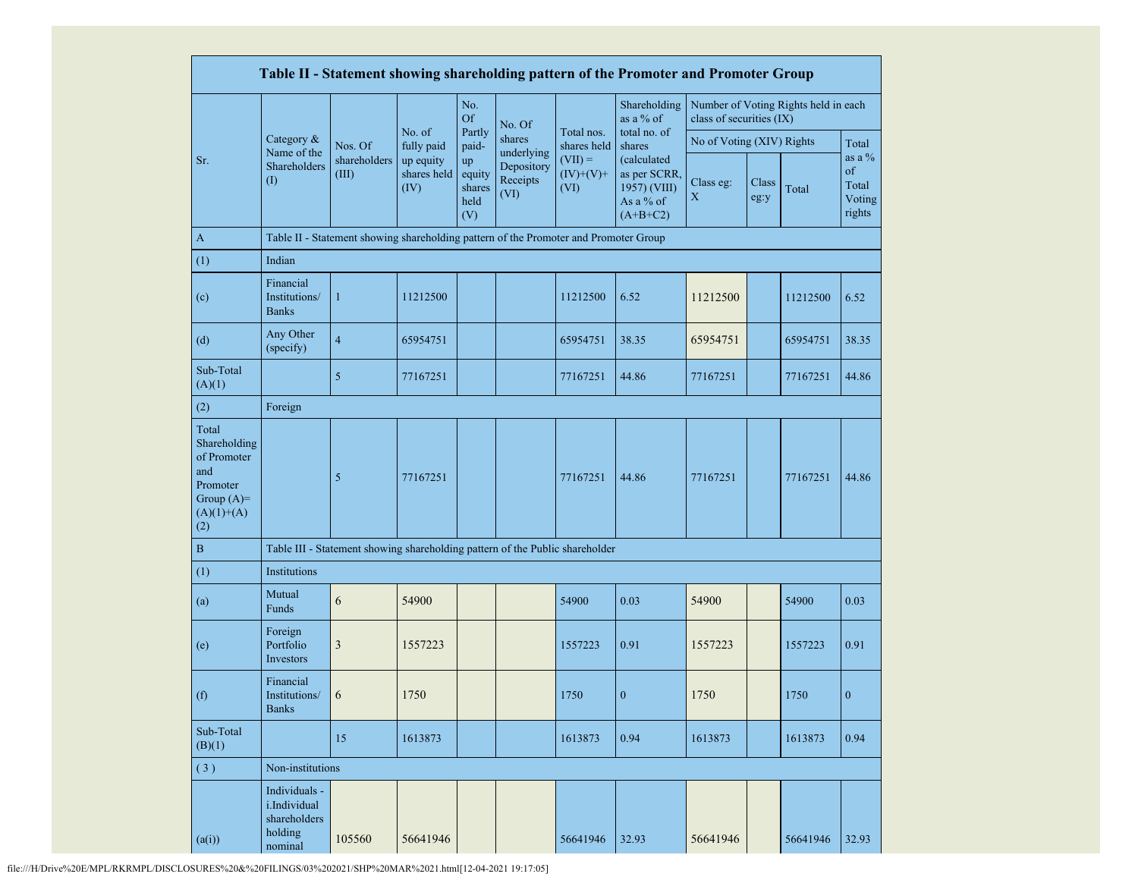|                                                                                                |                                                                     |                                                                                      |                                  |                                       |                                |                                  | Table II - Statement showing shareholding pattern of the Promoter and Promoter Group |                           |               |                                      |                                             |
|------------------------------------------------------------------------------------------------|---------------------------------------------------------------------|--------------------------------------------------------------------------------------|----------------------------------|---------------------------------------|--------------------------------|----------------------------------|--------------------------------------------------------------------------------------|---------------------------|---------------|--------------------------------------|---------------------------------------------|
|                                                                                                |                                                                     |                                                                                      |                                  | No.<br><b>Of</b>                      | No. Of                         |                                  | Shareholding<br>as a % of                                                            | class of securities (IX)  |               | Number of Voting Rights held in each |                                             |
|                                                                                                | Category &<br>Name of the                                           | Nos. Of                                                                              | No. of<br>fully paid             | Partly<br>paid-                       | shares<br>underlying           | Total nos.<br>shares held        | total no. of<br>shares                                                               | No of Voting (XIV) Rights |               |                                      | Total                                       |
| Sr.                                                                                            | Shareholders<br>(I)                                                 | shareholders<br>(III)                                                                | up equity<br>shares held<br>(IV) | up<br>equity<br>shares<br>held<br>(V) | Depository<br>Receipts<br>(VI) | $(VII) =$<br>$(IV)+(V)+$<br>(VI) | (calculated<br>as per SCRR,<br>1957) (VIII)<br>As a % of<br>$(A+B+C2)$               | Class eg:<br>$\mathbf X$  | Class<br>eg:y | Total                                | as a $%$<br>of<br>Total<br>Voting<br>rights |
| $\mathbf{A}$                                                                                   |                                                                     | Table II - Statement showing shareholding pattern of the Promoter and Promoter Group |                                  |                                       |                                |                                  |                                                                                      |                           |               |                                      |                                             |
| (1)                                                                                            | Indian                                                              |                                                                                      |                                  |                                       |                                |                                  |                                                                                      |                           |               |                                      |                                             |
| (c)                                                                                            | Financial<br>Institutions/<br><b>Banks</b>                          | $\mathbf{1}$                                                                         | 11212500                         |                                       |                                | 11212500                         | 6.52                                                                                 | 11212500                  |               | 11212500                             | 6.52                                        |
| (d)                                                                                            | Any Other<br>(specify)                                              | $\overline{4}$                                                                       | 65954751                         |                                       |                                | 65954751                         | 38.35                                                                                | 65954751                  |               | 65954751                             | 38.35                                       |
| Sub-Total<br>(A)(1)                                                                            |                                                                     | $\mathfrak{S}$                                                                       | 77167251                         |                                       |                                | 77167251                         | 44.86                                                                                | 77167251                  |               | 77167251                             | 44.86                                       |
| (2)                                                                                            | Foreign                                                             |                                                                                      |                                  |                                       |                                |                                  |                                                                                      |                           |               |                                      |                                             |
| Total<br>Shareholding<br>of Promoter<br>and<br>Promoter<br>Group $(A)=$<br>$(A)(1)+(A)$<br>(2) |                                                                     | 5                                                                                    | 77167251                         |                                       |                                | 77167251                         | 44.86                                                                                | 77167251                  |               | 77167251                             | 44.86                                       |
| B                                                                                              |                                                                     | Table III - Statement showing shareholding pattern of the Public shareholder         |                                  |                                       |                                |                                  |                                                                                      |                           |               |                                      |                                             |
| (1)                                                                                            | Institutions                                                        |                                                                                      |                                  |                                       |                                |                                  |                                                                                      |                           |               |                                      |                                             |
| (a)                                                                                            | Mutual<br>Funds                                                     | 6                                                                                    | 54900                            |                                       |                                | 54900                            | 0.03                                                                                 | 54900                     |               | 54900                                | 0.03                                        |
| (e)                                                                                            | Foreign<br>Portfolio<br>Investors                                   | $\mathfrak{Z}$                                                                       | 1557223                          |                                       |                                | 1557223                          | 0.91                                                                                 | 1557223                   |               | 1557223                              | 0.91                                        |
| (f)                                                                                            | Financial<br>Institutions/<br><b>Banks</b>                          | 6                                                                                    | 1750                             |                                       |                                | 1750                             | $\boldsymbol{0}$                                                                     | 1750                      |               | 1750                                 | $\boldsymbol{0}$                            |
| Sub-Total<br>(B)(1)                                                                            |                                                                     | 15                                                                                   | 1613873                          |                                       |                                | 1613873                          | 0.94                                                                                 | 1613873                   |               | 1613873                              | 0.94                                        |
| (3)                                                                                            | Non-institutions                                                    |                                                                                      |                                  |                                       |                                |                                  |                                                                                      |                           |               |                                      |                                             |
| (a(i))                                                                                         | Individuals -<br>i.Individual<br>shareholders<br>holding<br>nominal | 105560                                                                               | 56641946                         |                                       |                                | 56641946                         | 32.93                                                                                | 56641946                  |               | 56641946                             | 32.93                                       |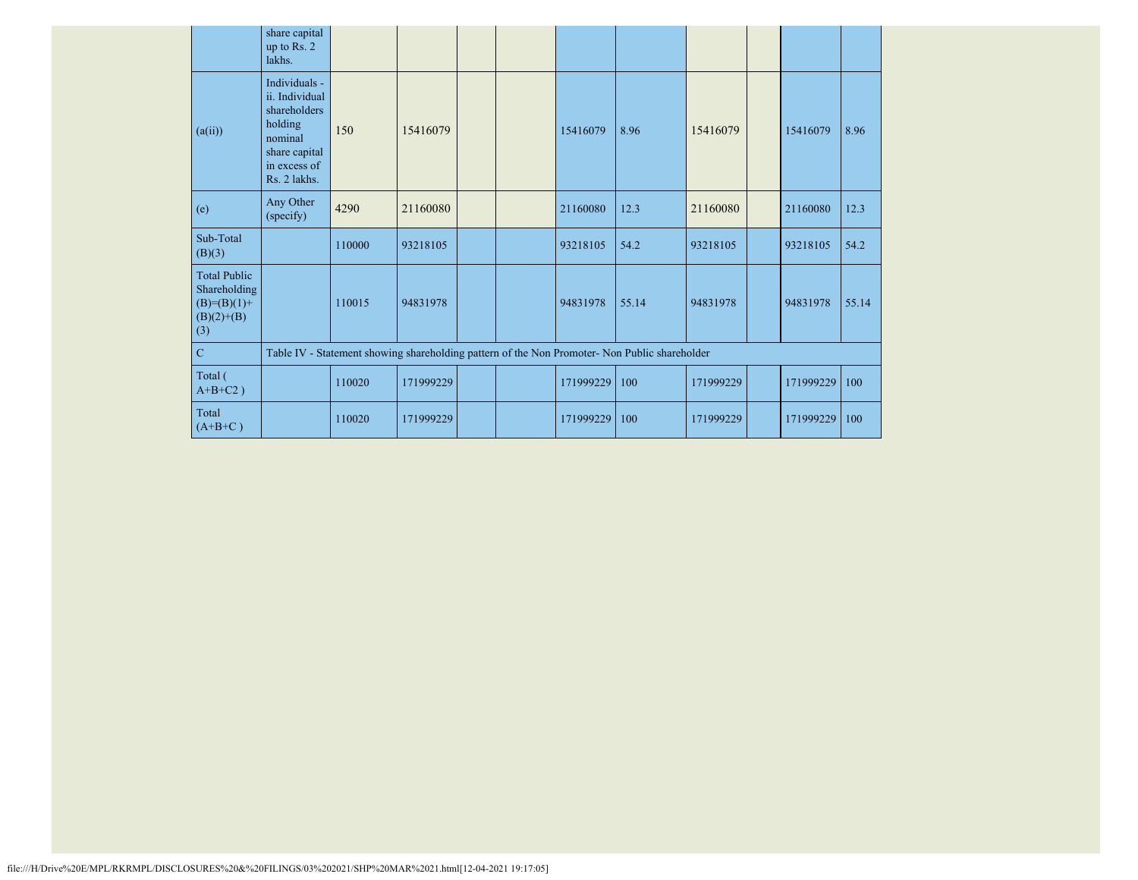|                                                                               | share capital<br>up to Rs. 2<br>lakhs.                                                                                 |                                                                                               |           |  |  |           |       |           |  |           |       |
|-------------------------------------------------------------------------------|------------------------------------------------------------------------------------------------------------------------|-----------------------------------------------------------------------------------------------|-----------|--|--|-----------|-------|-----------|--|-----------|-------|
| (a(ii))                                                                       | Individuals -<br>ii. Individual<br>shareholders<br>holding<br>nominal<br>share capital<br>in excess of<br>Rs. 2 lakhs. | 150                                                                                           | 15416079  |  |  | 15416079  | 8.96  | 15416079  |  | 15416079  | 8.96  |
| (e)                                                                           | Any Other<br>(specify)                                                                                                 | 4290                                                                                          | 21160080  |  |  | 21160080  | 12.3  | 21160080  |  | 21160080  | 12.3  |
| Sub-Total<br>(B)(3)                                                           |                                                                                                                        | 110000                                                                                        | 93218105  |  |  | 93218105  | 54.2  | 93218105  |  | 93218105  | 54.2  |
| <b>Total Public</b><br>Shareholding<br>$(B)= (B)(1) +$<br>$(B)(2)+(B)$<br>(3) |                                                                                                                        | 110015                                                                                        | 94831978  |  |  | 94831978  | 55.14 | 94831978  |  | 94831978  | 55.14 |
| $\mathbf C$                                                                   |                                                                                                                        | Table IV - Statement showing shareholding pattern of the Non Promoter- Non Public shareholder |           |  |  |           |       |           |  |           |       |
| Total (<br>$A+B+C2$ )                                                         |                                                                                                                        | 110020                                                                                        | 171999229 |  |  | 171999229 | 100   | 171999229 |  | 171999229 | 100   |
| Total<br>$(A+B+C)$                                                            |                                                                                                                        | 110020                                                                                        | 171999229 |  |  | 171999229 | 100   | 171999229 |  | 171999229 | 100   |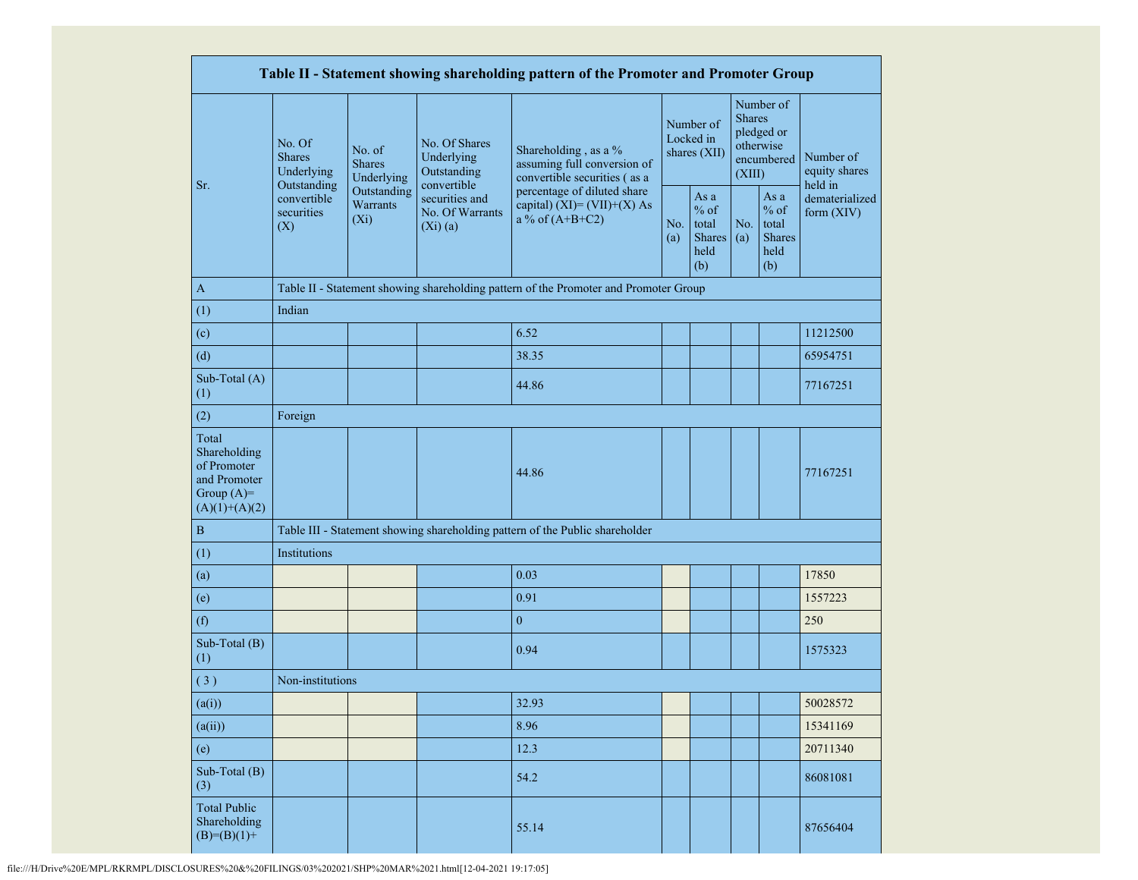|                                                                                         |                                                                                                                                                                         |                                            |                                                                                     | Table II - Statement showing shareholding pattern of the Promoter and Promoter Group |                                        |                                                  |                                                                               |                                                         |                              |
|-----------------------------------------------------------------------------------------|-------------------------------------------------------------------------------------------------------------------------------------------------------------------------|--------------------------------------------|-------------------------------------------------------------------------------------|--------------------------------------------------------------------------------------|----------------------------------------|--------------------------------------------------|-------------------------------------------------------------------------------|---------------------------------------------------------|------------------------------|
| Sr.                                                                                     | No. Of<br>No. of<br><b>Shares</b><br><b>Shares</b><br>Underlying<br>Underlying<br>Outstanding<br>Outstanding<br>convertible<br>Warrants<br>securities<br>$(X_i)$<br>(X) | No. Of Shares<br>Underlying<br>Outstanding | Shareholding, as a %<br>assuming full conversion of<br>convertible securities (as a |                                                                                      | Number of<br>Locked in<br>shares (XII) |                                                  | Number of<br><b>Shares</b><br>pledged or<br>otherwise<br>encumbered<br>(XIII) | Number of<br>equity shares<br>held in                   |                              |
|                                                                                         |                                                                                                                                                                         |                                            | convertible<br>securities and<br>No. Of Warrants<br>$(Xi)$ $(a)$                    | percentage of diluted share<br>capital) $(XI) = (VII)+(X)$ As<br>a % of $(A+B+C2)$   |                                        | As a<br>$%$ of<br>total<br>Shares<br>held<br>(b) | No.<br>(a)                                                                    | As a<br>$%$ of<br>total<br><b>Shares</b><br>held<br>(b) | dematerialized<br>form (XIV) |
| A                                                                                       |                                                                                                                                                                         |                                            |                                                                                     | Table II - Statement showing shareholding pattern of the Promoter and Promoter Group |                                        |                                                  |                                                                               |                                                         |                              |
| (1)                                                                                     | Indian                                                                                                                                                                  |                                            |                                                                                     |                                                                                      |                                        |                                                  |                                                                               |                                                         |                              |
| (c)                                                                                     |                                                                                                                                                                         |                                            |                                                                                     | 6.52                                                                                 |                                        |                                                  |                                                                               |                                                         | 11212500                     |
| (d)                                                                                     |                                                                                                                                                                         |                                            |                                                                                     | 38.35                                                                                |                                        |                                                  |                                                                               |                                                         | 65954751                     |
| Sub-Total (A)<br>(1)                                                                    |                                                                                                                                                                         |                                            |                                                                                     | 44.86                                                                                |                                        |                                                  |                                                                               |                                                         | 77167251                     |
| (2)                                                                                     | Foreign                                                                                                                                                                 |                                            |                                                                                     |                                                                                      |                                        |                                                  |                                                                               |                                                         |                              |
| Total<br>Shareholding<br>of Promoter<br>and Promoter<br>Group $(A)=$<br>$(A)(1)+(A)(2)$ |                                                                                                                                                                         |                                            |                                                                                     | 44.86                                                                                |                                        |                                                  |                                                                               |                                                         | 77167251                     |
| $\, {\bf B}$                                                                            |                                                                                                                                                                         |                                            |                                                                                     | Table III - Statement showing shareholding pattern of the Public shareholder         |                                        |                                                  |                                                                               |                                                         |                              |
| (1)                                                                                     | Institutions                                                                                                                                                            |                                            |                                                                                     |                                                                                      |                                        |                                                  |                                                                               |                                                         |                              |
| (a)                                                                                     |                                                                                                                                                                         |                                            |                                                                                     | 0.03                                                                                 |                                        |                                                  |                                                                               |                                                         | 17850                        |
| (e)                                                                                     |                                                                                                                                                                         |                                            |                                                                                     | 0.91                                                                                 |                                        |                                                  |                                                                               |                                                         | 1557223                      |
| (f)                                                                                     |                                                                                                                                                                         |                                            |                                                                                     | $\mathbf{0}$                                                                         |                                        |                                                  |                                                                               |                                                         | 250                          |
| Sub-Total (B)<br>(1)                                                                    |                                                                                                                                                                         |                                            |                                                                                     | 0.94                                                                                 |                                        |                                                  |                                                                               |                                                         | 1575323                      |
| (3)                                                                                     | Non-institutions                                                                                                                                                        |                                            |                                                                                     |                                                                                      |                                        |                                                  |                                                                               |                                                         |                              |
| (a(i))                                                                                  |                                                                                                                                                                         |                                            |                                                                                     | 32.93                                                                                |                                        |                                                  |                                                                               |                                                         | 50028572                     |
| (a(ii))                                                                                 |                                                                                                                                                                         |                                            |                                                                                     | 8.96                                                                                 |                                        |                                                  |                                                                               |                                                         | 15341169                     |
| (e)                                                                                     |                                                                                                                                                                         |                                            |                                                                                     | 12.3                                                                                 |                                        |                                                  |                                                                               |                                                         | 20711340                     |
| Sub-Total (B)<br>(3)                                                                    |                                                                                                                                                                         |                                            |                                                                                     | 54.2                                                                                 |                                        |                                                  |                                                                               |                                                         | 86081081                     |
| <b>Total Public</b><br>Shareholding<br>$(B)=(B)(1)+$                                    |                                                                                                                                                                         |                                            |                                                                                     | 55.14                                                                                |                                        |                                                  |                                                                               |                                                         | 87656404                     |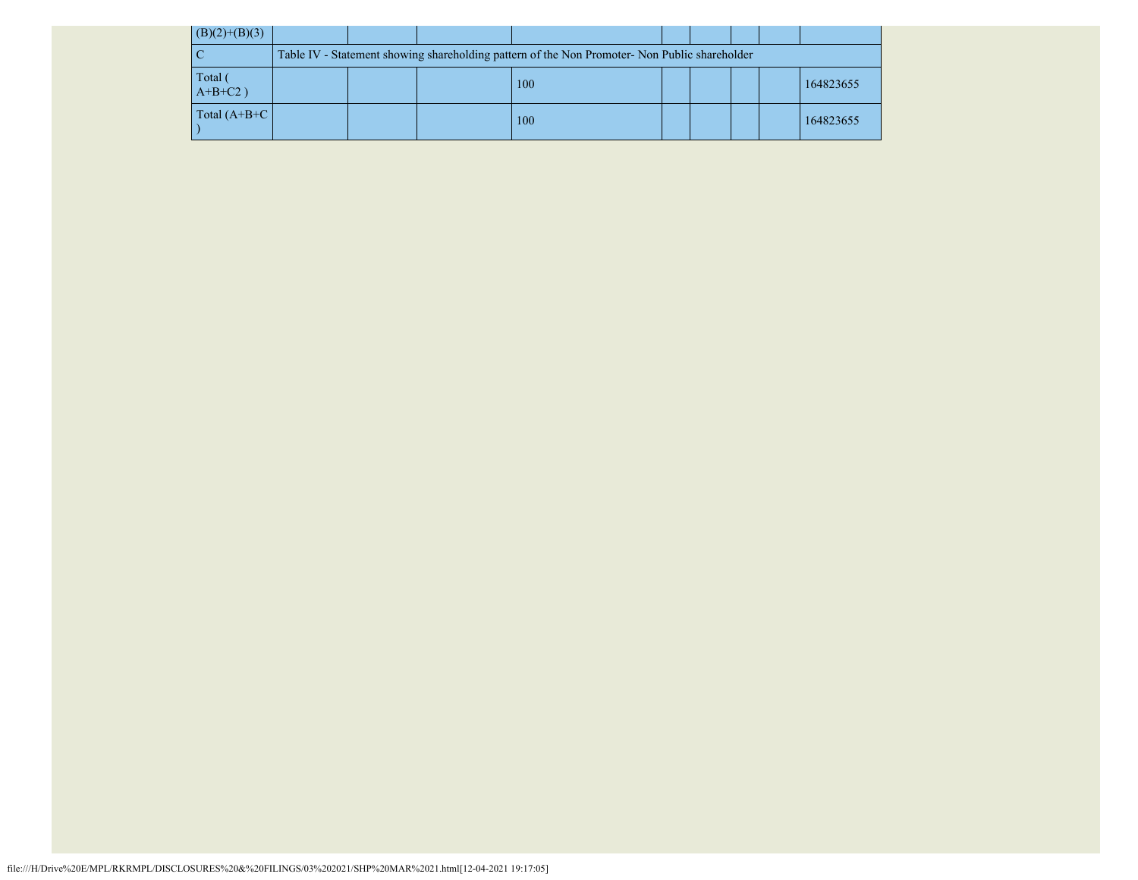| $(B)(2)+(B)(3)$     |                                                                                               |  |  |     |  |  |  |  |           |  |  |
|---------------------|-----------------------------------------------------------------------------------------------|--|--|-----|--|--|--|--|-----------|--|--|
|                     | Table IV - Statement showing shareholding pattern of the Non Promoter- Non Public shareholder |  |  |     |  |  |  |  |           |  |  |
| Total<br>$A+B+C2$ ) |                                                                                               |  |  | 100 |  |  |  |  | 164823655 |  |  |
| Total $(A+B+C)$     |                                                                                               |  |  | 100 |  |  |  |  | 164823655 |  |  |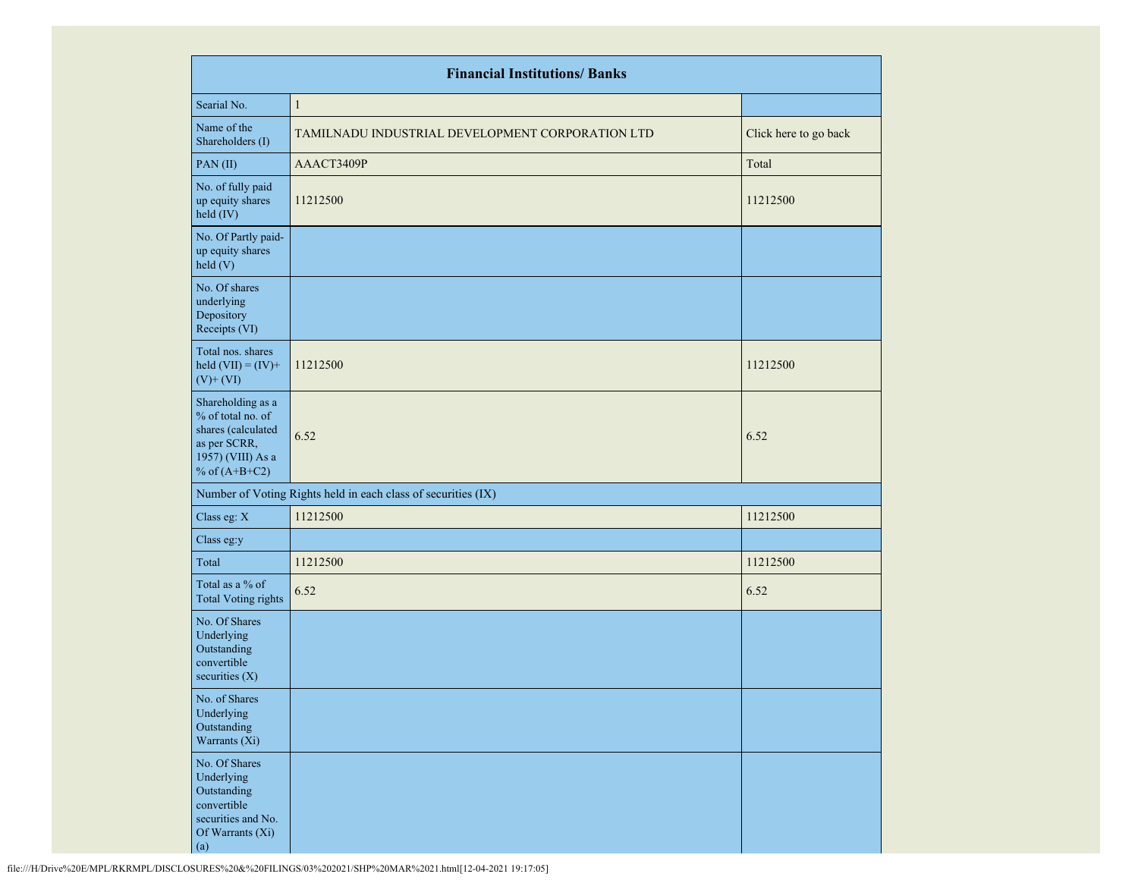|                                                                                                                      | <b>Financial Institutions/ Banks</b>                          |                       |
|----------------------------------------------------------------------------------------------------------------------|---------------------------------------------------------------|-----------------------|
| Searial No.                                                                                                          | $\mathbf{1}$                                                  |                       |
| Name of the<br>Shareholders (I)                                                                                      | TAMILNADU INDUSTRIAL DEVELOPMENT CORPORATION LTD              | Click here to go back |
| PAN(II)                                                                                                              | AAACT3409P                                                    | Total                 |
| No. of fully paid<br>up equity shares<br>held (IV)                                                                   | 11212500                                                      | 11212500              |
| No. Of Partly paid-<br>up equity shares<br>held(V)                                                                   |                                                               |                       |
| No. Of shares<br>underlying<br>Depository<br>Receipts (VI)                                                           |                                                               |                       |
| Total nos. shares<br>held $(VII) = (IV) +$<br>$(V)$ + $(VI)$                                                         | 11212500                                                      | 11212500              |
| Shareholding as a<br>% of total no. of<br>shares (calculated<br>as per SCRR,<br>1957) (VIII) As a<br>% of $(A+B+C2)$ | 6.52                                                          | 6.52                  |
|                                                                                                                      | Number of Voting Rights held in each class of securities (IX) |                       |
| Class eg: X                                                                                                          | 11212500                                                      | 11212500              |
| Class eg:y                                                                                                           |                                                               |                       |
| Total                                                                                                                | 11212500                                                      | 11212500              |
| Total as a % of<br><b>Total Voting rights</b>                                                                        | 6.52                                                          | 6.52                  |
| No. Of Shares<br>Underlying<br>Outstanding<br>convertible<br>securities $(X)$                                        |                                                               |                       |
| No. of Shares<br>Underlying<br>Outstanding<br>Warrants (Xi)                                                          |                                                               |                       |
| No. Of Shares<br>Underlying<br>Outstanding<br>convertible<br>securities and No.<br>Of Warrants (Xi)<br>(a)           |                                                               |                       |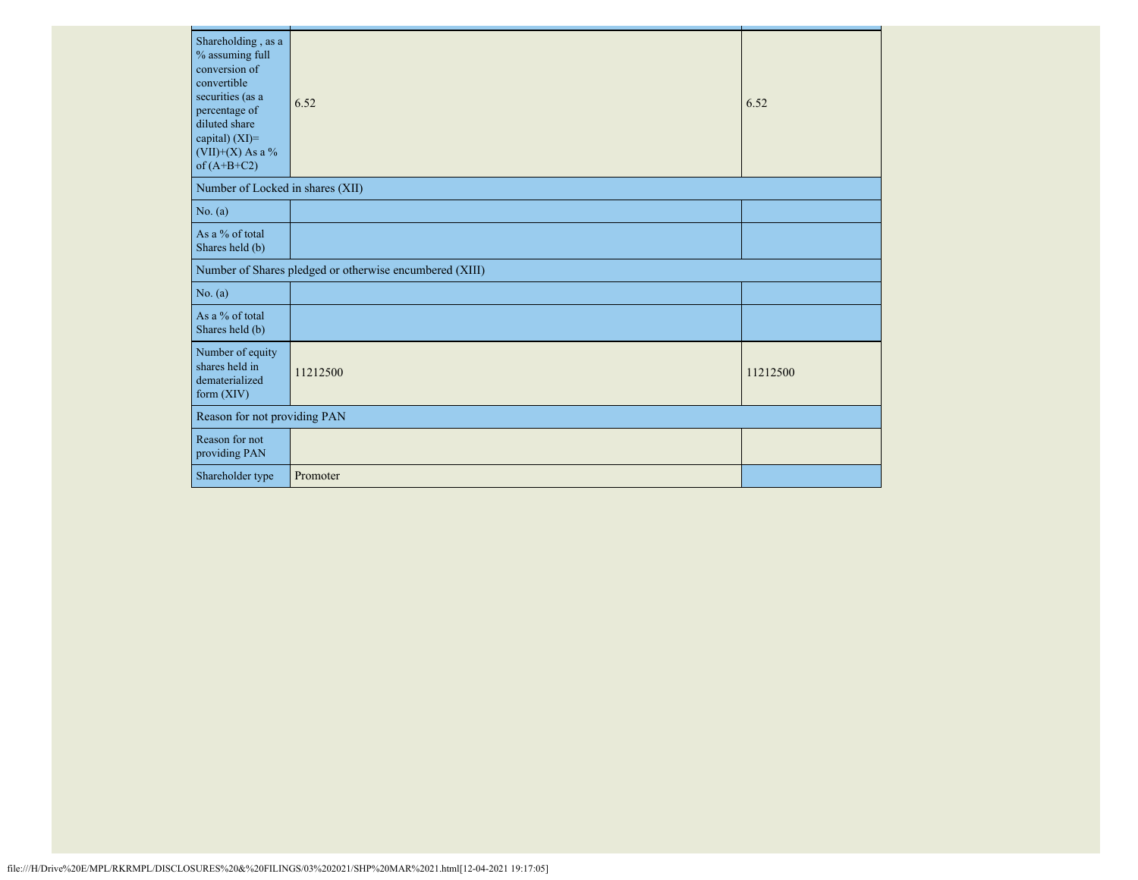| Shareholding, as a<br>% assuming full<br>conversion of<br>convertible<br>securities (as a<br>percentage of<br>diluted share<br>capital) (XI)=<br>$(VII)+(X)$ As a %<br>of $(A+B+C2)$ | 6.52                                                    | 6.52     |
|--------------------------------------------------------------------------------------------------------------------------------------------------------------------------------------|---------------------------------------------------------|----------|
| Number of Locked in shares (XII)                                                                                                                                                     |                                                         |          |
| No. (a)                                                                                                                                                                              |                                                         |          |
| As a % of total<br>Shares held (b)                                                                                                                                                   |                                                         |          |
|                                                                                                                                                                                      | Number of Shares pledged or otherwise encumbered (XIII) |          |
| No. (a)                                                                                                                                                                              |                                                         |          |
| As a % of total<br>Shares held (b)                                                                                                                                                   |                                                         |          |
| Number of equity<br>shares held in<br>dematerialized<br>form $(XIV)$                                                                                                                 | 11212500                                                | 11212500 |
| Reason for not providing PAN                                                                                                                                                         |                                                         |          |
| Reason for not<br>providing PAN                                                                                                                                                      |                                                         |          |
| Shareholder type                                                                                                                                                                     | Promoter                                                |          |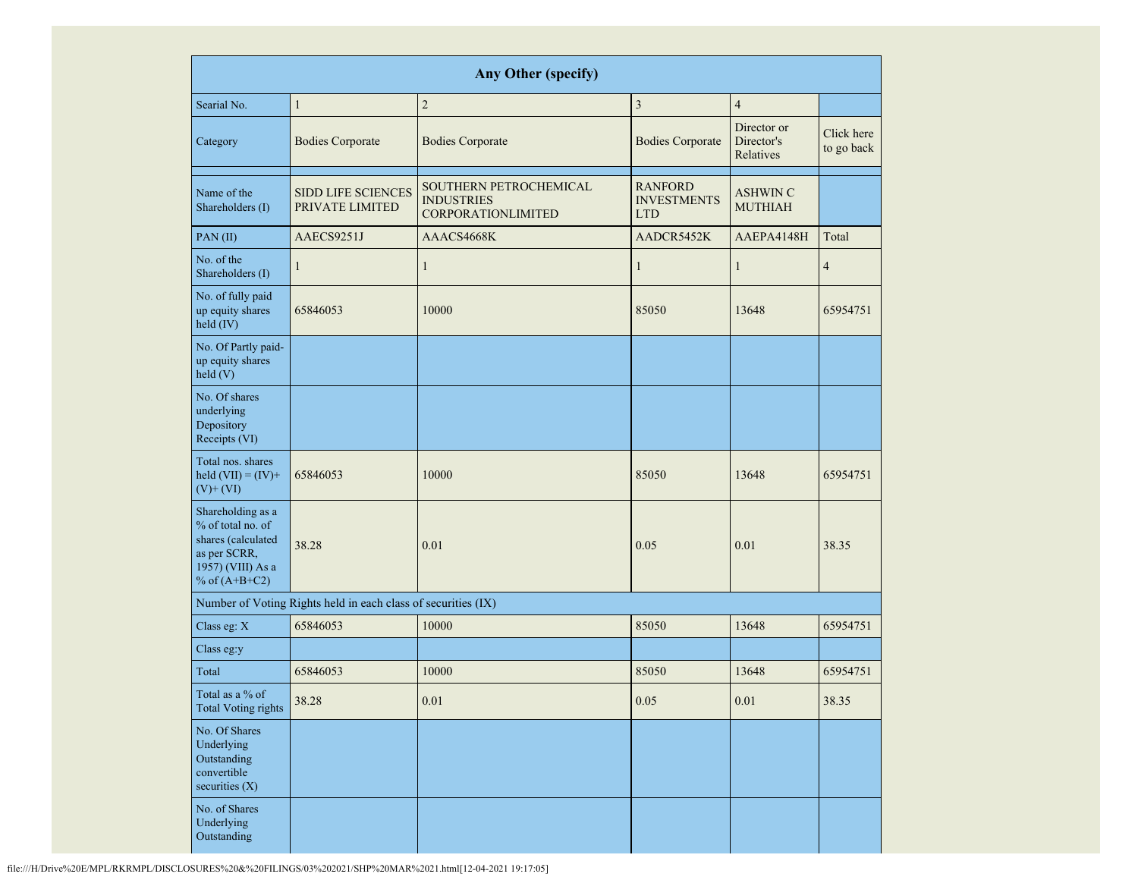|                                                                                                                      | <b>Any Other (specify)</b>                                    |                                                                          |                                                    |                                        |                          |  |  |  |  |  |  |  |
|----------------------------------------------------------------------------------------------------------------------|---------------------------------------------------------------|--------------------------------------------------------------------------|----------------------------------------------------|----------------------------------------|--------------------------|--|--|--|--|--|--|--|
| Searial No.                                                                                                          | $\mathbf{1}$                                                  | $\sqrt{2}$                                                               | 3                                                  | $\overline{4}$                         |                          |  |  |  |  |  |  |  |
| Category                                                                                                             | <b>Bodies Corporate</b>                                       | <b>Bodies Corporate</b>                                                  | <b>Bodies Corporate</b>                            | Director or<br>Director's<br>Relatives | Click here<br>to go back |  |  |  |  |  |  |  |
| Name of the<br>Shareholders (I)                                                                                      | <b>SIDD LIFE SCIENCES</b><br>PRIVATE LIMITED                  | SOUTHERN PETROCHEMICAL<br><b>INDUSTRIES</b><br><b>CORPORATIONLIMITED</b> | <b>RANFORD</b><br><b>INVESTMENTS</b><br><b>LTD</b> | <b>ASHWIN C</b><br><b>MUTHIAH</b>      |                          |  |  |  |  |  |  |  |
| PAN(II)                                                                                                              | AAECS9251J                                                    | AAACS4668K                                                               | AADCR5452K                                         | AAEPA4148H                             | Total                    |  |  |  |  |  |  |  |
| No. of the<br>Shareholders (I)                                                                                       | $\mathbf{1}$                                                  | $\mathbf{1}$                                                             | $\mathbf{1}$                                       | $\mathbf{1}$                           | $\overline{4}$           |  |  |  |  |  |  |  |
| No. of fully paid<br>up equity shares<br>held (IV)                                                                   | 65846053                                                      | 10000                                                                    | 85050                                              | 13648                                  | 65954751                 |  |  |  |  |  |  |  |
| No. Of Partly paid-<br>up equity shares<br>held(V)                                                                   |                                                               |                                                                          |                                                    |                                        |                          |  |  |  |  |  |  |  |
| No. Of shares<br>underlying<br>Depository<br>Receipts (VI)                                                           |                                                               |                                                                          |                                                    |                                        |                          |  |  |  |  |  |  |  |
| Total nos. shares<br>held $(VII) = (IV) +$<br>$(V)$ + $(VI)$                                                         | 65846053                                                      | 10000                                                                    | 85050                                              | 13648                                  | 65954751                 |  |  |  |  |  |  |  |
| Shareholding as a<br>% of total no. of<br>shares (calculated<br>as per SCRR,<br>1957) (VIII) As a<br>% of $(A+B+C2)$ | 38.28                                                         | 0.01                                                                     | 0.05                                               | 0.01                                   | 38.35                    |  |  |  |  |  |  |  |
|                                                                                                                      | Number of Voting Rights held in each class of securities (IX) |                                                                          |                                                    |                                        |                          |  |  |  |  |  |  |  |
| Class eg: X                                                                                                          | 65846053                                                      | 10000                                                                    | 85050                                              | 13648                                  | 65954751                 |  |  |  |  |  |  |  |
| Class eg:y                                                                                                           |                                                               |                                                                          |                                                    |                                        |                          |  |  |  |  |  |  |  |
| Total                                                                                                                | 65846053                                                      | 10000                                                                    | 85050                                              | 13648                                  | 65954751                 |  |  |  |  |  |  |  |
| Total as a % of<br><b>Total Voting rights</b>                                                                        | 38.28                                                         | 0.01                                                                     | 0.05                                               | 0.01                                   | 38.35                    |  |  |  |  |  |  |  |
| No. Of Shares<br>Underlying<br>Outstanding<br>convertible<br>securities $(X)$                                        |                                                               |                                                                          |                                                    |                                        |                          |  |  |  |  |  |  |  |
| No. of Shares<br>Underlying<br>Outstanding                                                                           |                                                               |                                                                          |                                                    |                                        |                          |  |  |  |  |  |  |  |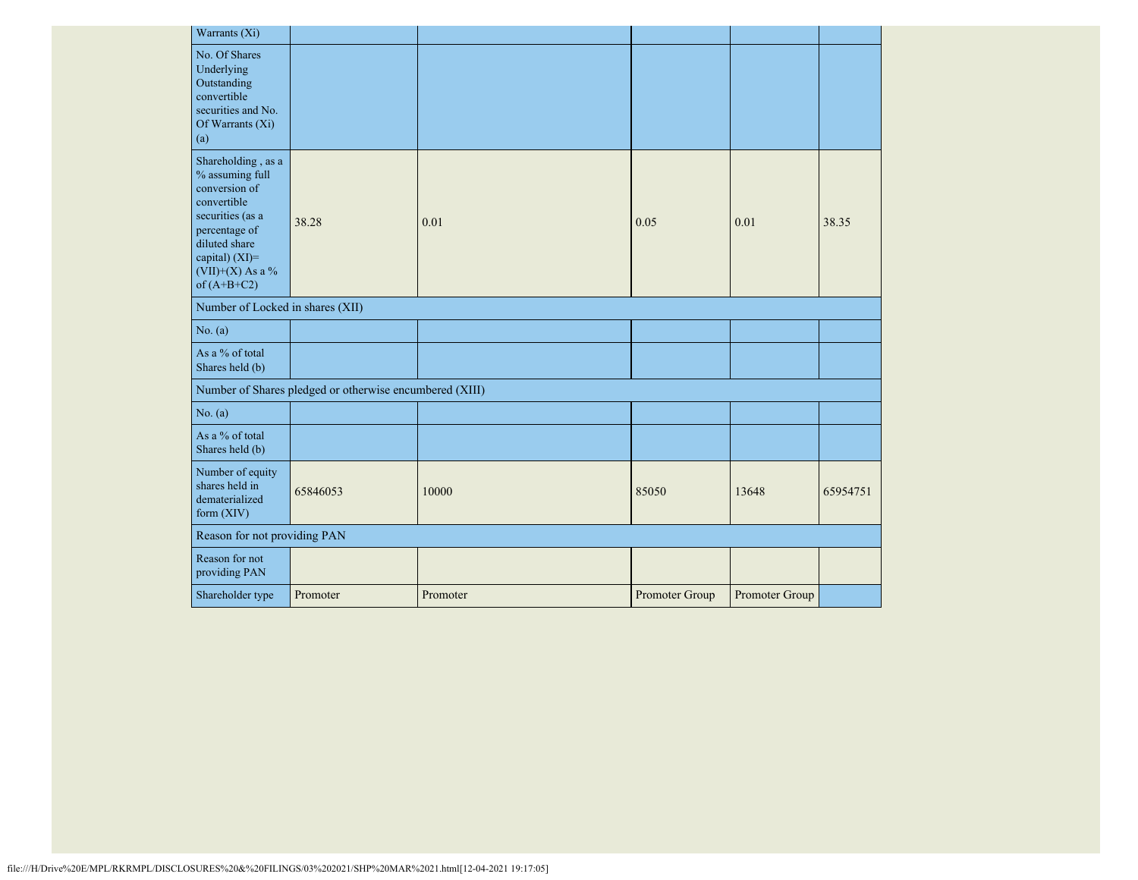| Warrants (Xi)                                                                                                                                                                      |                                                         |          |                |                |          |
|------------------------------------------------------------------------------------------------------------------------------------------------------------------------------------|---------------------------------------------------------|----------|----------------|----------------|----------|
| No. Of Shares<br>Underlying<br>Outstanding<br>convertible<br>securities and No.<br>Of Warrants $(X_i)$<br>(a)                                                                      |                                                         |          |                |                |          |
| Shareholding, as a<br>% assuming full<br>conversion of<br>convertible<br>securities (as a<br>percentage of<br>diluted share<br>capital) (XI)=<br>(VII)+(X) As a %<br>of $(A+B+C2)$ | 38.28                                                   | 0.01     | 0.05           | 0.01           | 38.35    |
| Number of Locked in shares (XII)                                                                                                                                                   |                                                         |          |                |                |          |
| No. (a)                                                                                                                                                                            |                                                         |          |                |                |          |
| As a % of total<br>Shares held (b)                                                                                                                                                 |                                                         |          |                |                |          |
|                                                                                                                                                                                    | Number of Shares pledged or otherwise encumbered (XIII) |          |                |                |          |
| No. (a)                                                                                                                                                                            |                                                         |          |                |                |          |
| As a % of total<br>Shares held (b)                                                                                                                                                 |                                                         |          |                |                |          |
| Number of equity<br>shares held in<br>dematerialized<br>form $(XIV)$                                                                                                               | 65846053                                                | 10000    | 85050          | 13648          | 65954751 |
| Reason for not providing PAN                                                                                                                                                       |                                                         |          |                |                |          |
| Reason for not<br>providing PAN                                                                                                                                                    |                                                         |          |                |                |          |
| Shareholder type                                                                                                                                                                   | Promoter                                                | Promoter | Promoter Group | Promoter Group |          |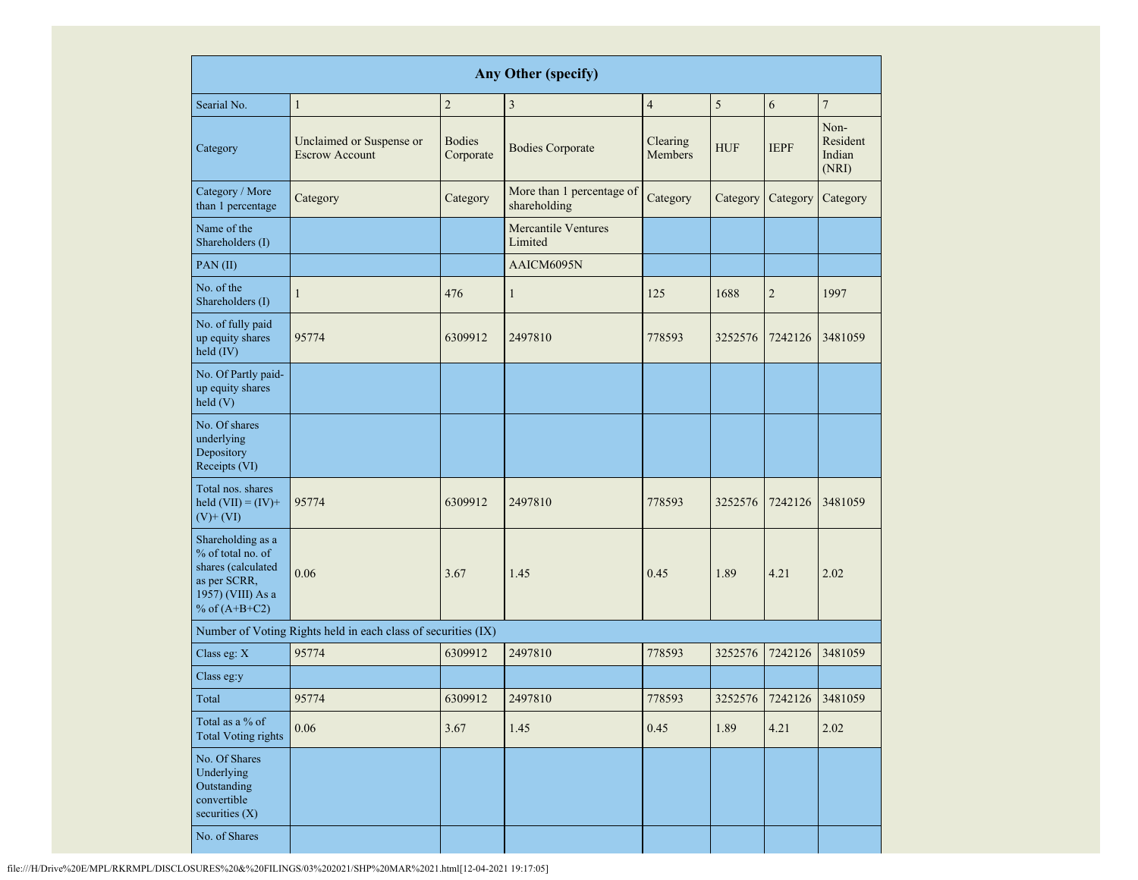| <b>Any Other (specify)</b>                                                                                           |                                                   |                            |                                           |                     |            |                         |                                     |
|----------------------------------------------------------------------------------------------------------------------|---------------------------------------------------|----------------------------|-------------------------------------------|---------------------|------------|-------------------------|-------------------------------------|
| Searial No.                                                                                                          | $\mathbf{1}$                                      | $\overline{c}$             | $\overline{\mathbf{3}}$                   | $\overline{4}$      | 5          | 6                       | $\overline{7}$                      |
| Category                                                                                                             | Unclaimed or Suspense or<br><b>Escrow Account</b> | <b>Bodies</b><br>Corporate | <b>Bodies Corporate</b>                   | Clearing<br>Members | <b>HUF</b> | <b>IEPF</b>             | Non-<br>Resident<br>Indian<br>(NRI) |
| Category / More<br>than 1 percentage                                                                                 | Category                                          | Category                   | More than 1 percentage of<br>shareholding | Category            | Category   | Category                | Category                            |
| Name of the<br>Shareholders (I)                                                                                      |                                                   |                            | <b>Mercantile Ventures</b><br>Limited     |                     |            |                         |                                     |
| PAN(II)                                                                                                              |                                                   |                            | AAICM6095N                                |                     |            |                         |                                     |
| No. of the<br>Shareholders (I)                                                                                       | $\mathbf{1}$                                      | 476                        | $\mathbf{1}$                              | 125                 | 1688       | $\overline{2}$          | 1997                                |
| No. of fully paid<br>up equity shares<br>held (IV)                                                                   | 95774                                             | 6309912                    | 2497810                                   | 778593              | 3252576    | 7242126                 | 3481059                             |
| No. Of Partly paid-<br>up equity shares<br>held(V)                                                                   |                                                   |                            |                                           |                     |            |                         |                                     |
| No. Of shares<br>underlying<br>Depository<br>Receipts (VI)                                                           |                                                   |                            |                                           |                     |            |                         |                                     |
| Total nos. shares<br>held $(VII) = (IV) +$<br>$(V)$ + $(VI)$                                                         | 95774                                             | 6309912                    | 2497810                                   | 778593              | 3252576    | 7242126                 | 3481059                             |
| Shareholding as a<br>% of total no. of<br>shares (calculated<br>as per SCRR,<br>1957) (VIII) As a<br>% of $(A+B+C2)$ | 0.06                                              | 3.67                       | 1.45                                      | 0.45                | 1.89       | 4.21                    | 2.02                                |
| Number of Voting Rights held in each class of securities (IX)                                                        |                                                   |                            |                                           |                     |            |                         |                                     |
| Class eg: X                                                                                                          | 95774                                             | 6309912                    | 2497810                                   | 778593              | 3252576    | 7242126                 | 3481059                             |
| Class eg:y                                                                                                           |                                                   |                            |                                           |                     |            |                         |                                     |
| Total                                                                                                                | 95774                                             | 6309912                    | 2497810                                   | 778593              |            | 3252576 7242126 3481059 |                                     |
| Total as a % of<br><b>Total Voting rights</b>                                                                        | $0.06\,$                                          | 3.67                       | 1.45                                      | 0.45                | 1.89       | 4.21                    | 2.02                                |
| No. Of Shares<br>Underlying<br>Outstanding<br>convertible<br>securities $(X)$                                        |                                                   |                            |                                           |                     |            |                         |                                     |
| No. of Shares                                                                                                        |                                                   |                            |                                           |                     |            |                         |                                     |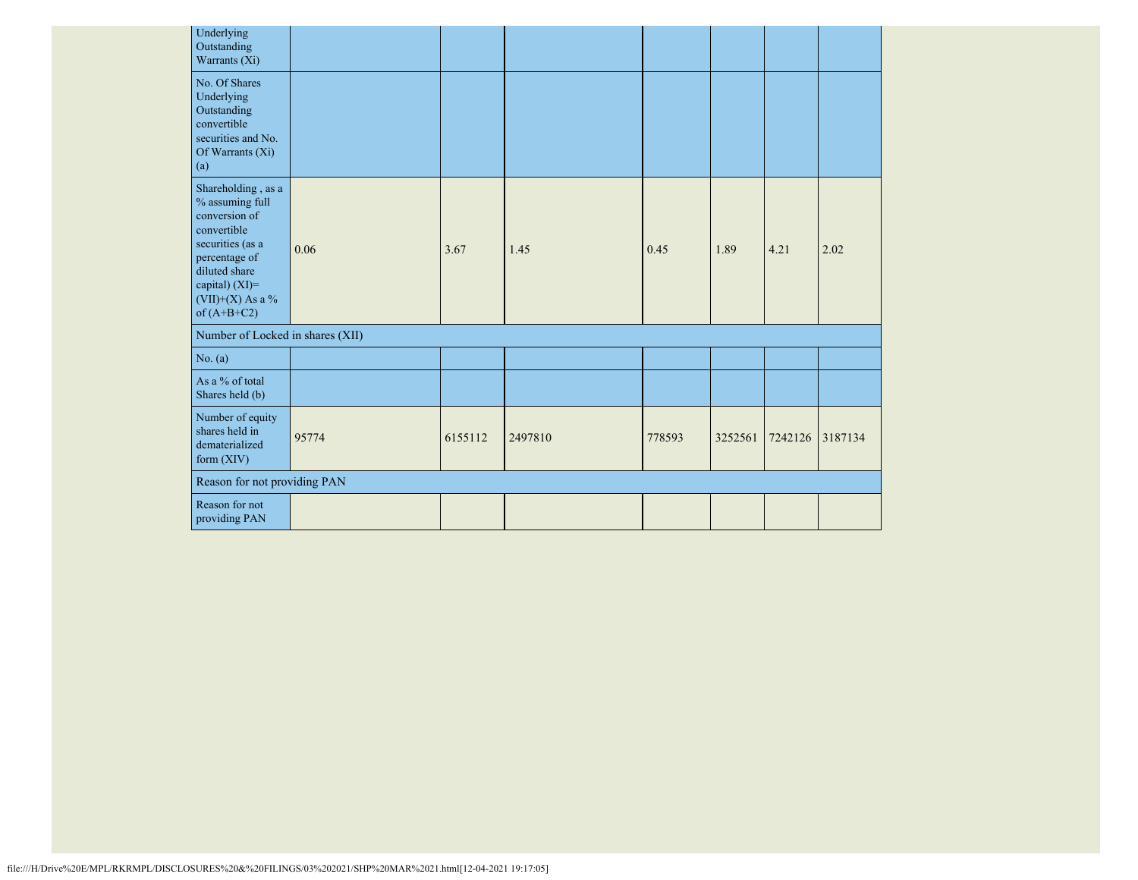| Underlying<br>Outstanding<br>Warrants (Xi)                                                                                                                                         |       |         |         |        |         |         |         |
|------------------------------------------------------------------------------------------------------------------------------------------------------------------------------------|-------|---------|---------|--------|---------|---------|---------|
| No. Of Shares<br>Underlying<br>Outstanding<br>convertible<br>securities and No.<br>Of Warrants (Xi)<br>(a)                                                                         |       |         |         |        |         |         |         |
| Shareholding, as a<br>% assuming full<br>conversion of<br>convertible<br>securities (as a<br>percentage of<br>diluted share<br>capital) (XI)=<br>(VII)+(X) As a %<br>of $(A+B+C2)$ | 0.06  | 3.67    | 1.45    | 0.45   | 1.89    | 4.21    | 2.02    |
| Number of Locked in shares (XII)                                                                                                                                                   |       |         |         |        |         |         |         |
| No. (a)                                                                                                                                                                            |       |         |         |        |         |         |         |
| As a % of total<br>Shares held (b)                                                                                                                                                 |       |         |         |        |         |         |         |
| Number of equity<br>shares held in<br>dematerialized<br>form $(XIV)$                                                                                                               | 95774 | 6155112 | 2497810 | 778593 | 3252561 | 7242126 | 3187134 |
| Reason for not providing PAN                                                                                                                                                       |       |         |         |        |         |         |         |
| Reason for not<br>providing PAN                                                                                                                                                    |       |         |         |        |         |         |         |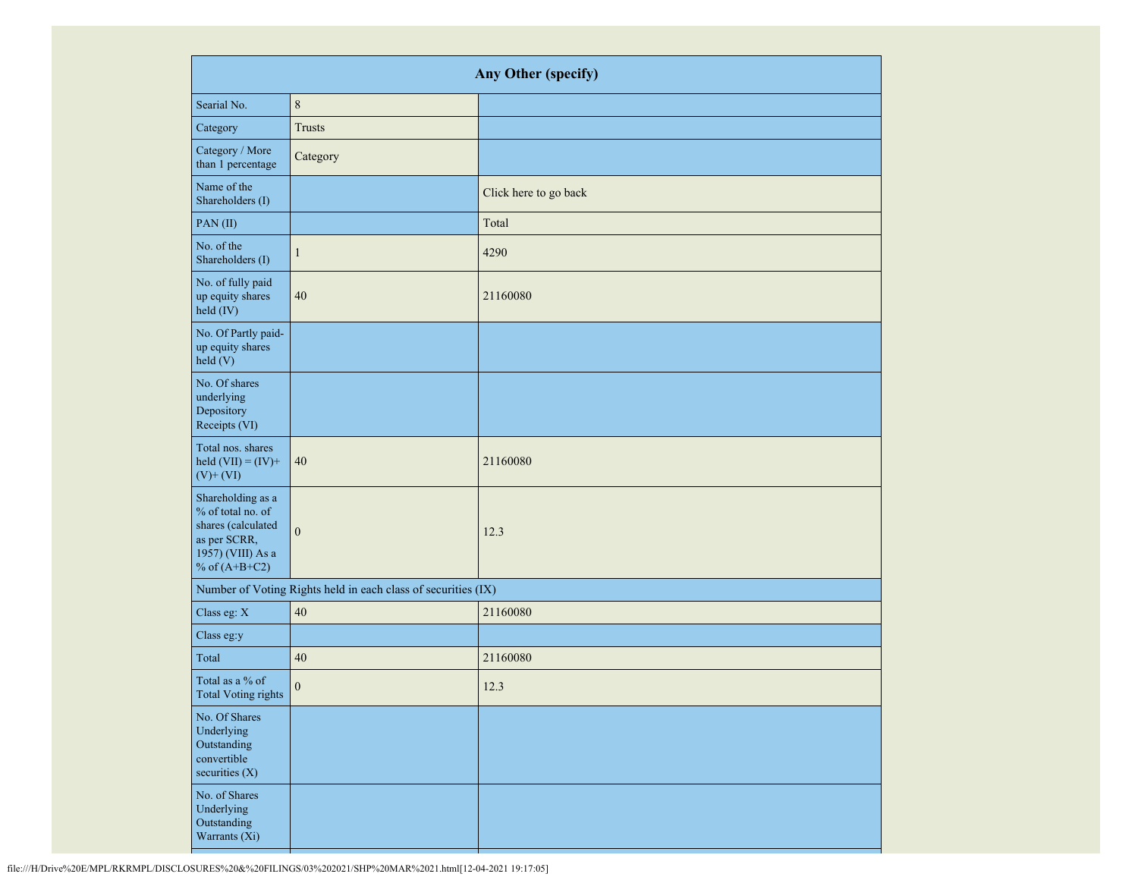| Any Other (specify)                                                                                                  |                                                               |                       |  |  |  |
|----------------------------------------------------------------------------------------------------------------------|---------------------------------------------------------------|-----------------------|--|--|--|
| Searial No.                                                                                                          | $\,8\,$                                                       |                       |  |  |  |
| Category                                                                                                             | <b>Trusts</b>                                                 |                       |  |  |  |
| Category / More<br>than 1 percentage                                                                                 | Category                                                      |                       |  |  |  |
| Name of the<br>Shareholders (I)                                                                                      |                                                               | Click here to go back |  |  |  |
| PAN(II)                                                                                                              |                                                               | Total                 |  |  |  |
| No. of the<br>Shareholders (I)                                                                                       | $\mathbf{1}$                                                  | 4290                  |  |  |  |
| No. of fully paid<br>up equity shares<br>held (IV)                                                                   | 40                                                            | 21160080              |  |  |  |
| No. Of Partly paid-<br>up equity shares<br>held (V)                                                                  |                                                               |                       |  |  |  |
| No. Of shares<br>underlying<br>Depository<br>Receipts (VI)                                                           |                                                               |                       |  |  |  |
| Total nos. shares<br>held $(VII) = (IV) +$<br>$(V)$ + $(VI)$                                                         | $40\,$                                                        | 21160080              |  |  |  |
| Shareholding as a<br>% of total no. of<br>shares (calculated<br>as per SCRR,<br>1957) (VIII) As a<br>% of $(A+B+C2)$ | $\boldsymbol{0}$                                              | 12.3                  |  |  |  |
|                                                                                                                      | Number of Voting Rights held in each class of securities (IX) |                       |  |  |  |
| Class eg: X                                                                                                          | 40                                                            | 21160080              |  |  |  |
| Class eg:y                                                                                                           |                                                               |                       |  |  |  |
| Total                                                                                                                | 40                                                            | 21160080              |  |  |  |
| Total as a % of<br>Total Voting rights                                                                               | $\boldsymbol{0}$                                              | 12.3                  |  |  |  |
| No. Of Shares<br>Underlying<br>Outstanding<br>convertible<br>securities $(X)$                                        |                                                               |                       |  |  |  |
| No. of Shares<br>Underlying<br>Outstanding<br>Warrants (Xi)                                                          |                                                               |                       |  |  |  |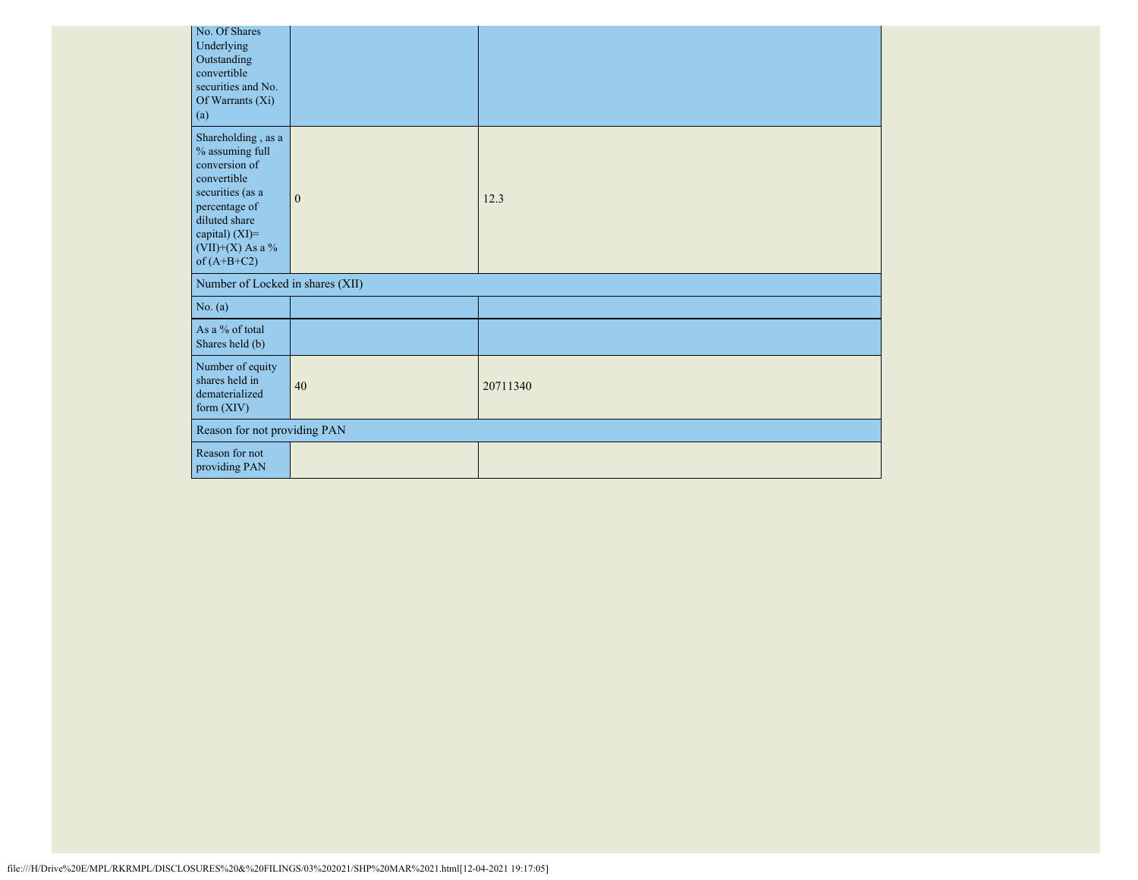| No. Of Shares<br>Underlying<br>Outstanding<br>convertible<br>securities and No.<br>Of Warrants (Xi)<br>(a)                                                                         |                                  |          |  |  |  |
|------------------------------------------------------------------------------------------------------------------------------------------------------------------------------------|----------------------------------|----------|--|--|--|
| Shareholding, as a<br>% assuming full<br>conversion of<br>convertible<br>securities (as a<br>percentage of<br>diluted share<br>capital) (XI)=<br>(VII)+(X) As a %<br>of $(A+B+C2)$ | $\mathbf{0}$                     | 12.3     |  |  |  |
|                                                                                                                                                                                    | Number of Locked in shares (XII) |          |  |  |  |
| No. (a)                                                                                                                                                                            |                                  |          |  |  |  |
| As a % of total<br>Shares held (b)                                                                                                                                                 |                                  |          |  |  |  |
| Number of equity<br>shares held in<br>dematerialized<br>form (XIV)                                                                                                                 | 40                               | 20711340 |  |  |  |
|                                                                                                                                                                                    | Reason for not providing PAN     |          |  |  |  |
| Reason for not<br>providing PAN                                                                                                                                                    |                                  |          |  |  |  |